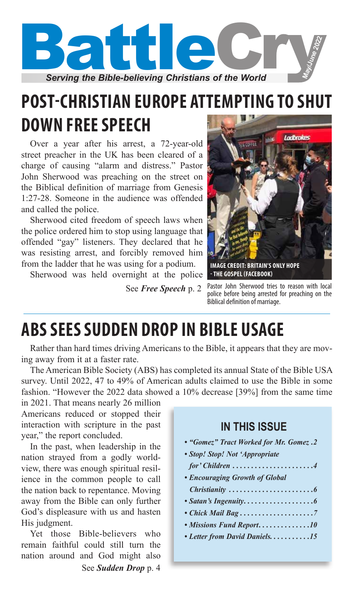

# **POST-CHRISTIAN EUROPE ATTEMPTING TO SHUT DOWN FREE SPEECH**

Over a year after his arrest, a 72-year-old street preacher in the UK has been cleared of a charge of causing "alarm and distress." Pastor John Sherwood was preaching on the street on the Biblical definition of marriage from Genesis 1:27-28. Someone in the audience was offended and called the police.

Sherwood cited freedom of speech laws when the police ordered him to stop using language that offended "gay" listeners. They declared that he was resisting arrest, and forcibly removed him from the ladder that he was using for a podium.

Sherwood was held overnight at the police

See *Free Speech* p. 2



Pastor John Sherwood tries to reason with local police before being arrested for preaching on the Biblical definition of marriage.

# **ABS SEES SUDDEN DROP IN BIBLE USAGE**

Rather than hard times driving Americans to the Bible, it appears that they are moving away from it at a faster rate.

The American Bible Society (ABS) has completed its annual State of the Bible USA survey. Until 2022, 47 to 49% of American adults claimed to use the Bible in some fashion. "However the 2022 data showed a 10% decrease [39%] from the same time

in 2021. That means nearly 26 million Americans reduced or stopped their interaction with scripture in the past year," the report concluded.

In the past, when leadership in the nation strayed from a godly worldview, there was enough spiritual resilience in the common people to call the nation back to repentance. Moving away from the Bible can only further God's displeasure with us and hasten His judgment.

Yet those Bible-believers who remain faithful could still turn the nation around and God might also See *Sudden Drop* p. 4

### **IN THIS ISSUE**

- *"Gomez" Tract Worked for Mr. Gomez. 2*
- *Stop! Stop! Not 'Appropriate* 
	- *for' Children. . 4*
- *Encouraging Growth of Global*
- *Christianity. . 6*
- *Satan's Ingenuity. . 6*
- Chick Mail Bag..........................7
- *Missions Fund Report.* . . . . . . . . . . . . 10
- *Letter from David Daniels. . . . . . . . . . .15*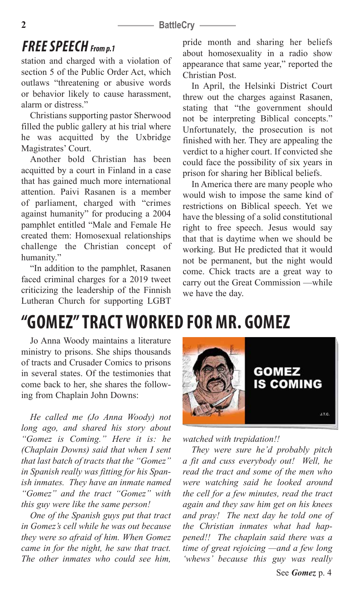### **2 BattleCry** –

## *FREE SPEECH From p.1*

station and charged with a violation of section 5 of the Public Order Act, which outlaws "threatening or abusive words or behavior likely to cause harassment, alarm or distress."

Christians supporting pastor Sherwood filled the public gallery at his trial where he was acquitted by the Uxbridge Magistrates' Court.

Another bold Christian has been acquitted by a court in Finland in a case that has gained much more international attention. Paivi Rasanen is a member of parliament, charged with "crimes against humanity" for producing a 2004 pamphlet entitled "Male and Female He created them: Homosexual relationships challenge the Christian concept of humanity."

"In addition to the pamphlet, Rasanen faced criminal charges for a 2019 tweet criticizing the leadership of the Finnish Lutheran Church for supporting LGBT

### pride month and sharing her beliefs about homosexuality in a radio show appearance that same year," reported the Christian Post.

In April, the Helsinki District Court threw out the charges against Rasanen, stating that "the government should not be interpreting Biblical concepts." Unfortunately, the prosecution is not finished with her. They are appealing the verdict to a higher court. If convicted she could face the possibility of six years in prison for sharing her Biblical beliefs.

In America there are many people who would wish to impose the same kind of restrictions on Biblical speech. Yet we have the blessing of a solid constitutional right to free speech. Jesus would say that that is daytime when we should be working. But He predicted that it would not be permanent, but the night would come. Chick tracts are a great way to carry out the Great Commission —while we have the day.

# **"GOMEZ" TRACT WORKED FOR MR. GOMEZ**

Jo Anna Woody maintains a literature ministry to prisons. She ships thousands of tracts and Crusader Comics to prisons in several states. Of the testimonies that come back to her, she shares the following from Chaplain John Downs:

*He called me (Jo Anna Woody) not long ago, and shared his story about "Gomez is Coming." Here it is: he (Chaplain Downs) said that when I sent that last batch of tracts that the "Gomez" in Spanish really was fitting for his Spanish inmates. They have an inmate named "Gomez" and the tract "Gomez" with this guy were like the same person!* 

*One of the Spanish guys put that tract in Gomez's cell while he was out because they were so afraid of him. When Gomez came in for the night, he saw that tract. The other inmates who could see him,* 



*watched with trepidation!!* 

*They were sure he'd probably pitch a fit and cuss everybody out! Well, he read the tract and some of the men who were watching said he looked around the cell for a few minutes, read the tract again and they saw him get on his knees and pray! The next day he told one of the Christian inmates what had happened!! The chaplain said there was a time of great rejoicing —and a few long 'whews' because this guy was really*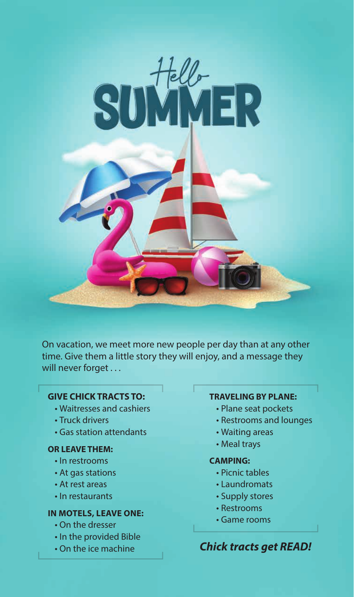

On vacation, we meet more new people per day than at any other time. Give them a little story they will enjoy, and a message they will never forget . . .

### **GIVE CHICK TRACTS TO:**

- Waitresses and cashiers
- Truck drivers
- Gas station attendants

### **OR LEAVE THEM:**

- In restrooms
- At gas stations
- At rest areas
- In restaurants

### **IN MOTELS, LEAVE ONE:**

- On the dresser
- In the provided Bible
- On the ice machine

### **TRAVELING BY PLANE:**

- Plane seat pockets
- Restrooms and lounges
- Waiting areas
- Meal trays

### **CAMPING:**

- Picnic tables
- Laundromats
- Supply stores
- Restrooms
- Game rooms

### *Chick tracts get READ!*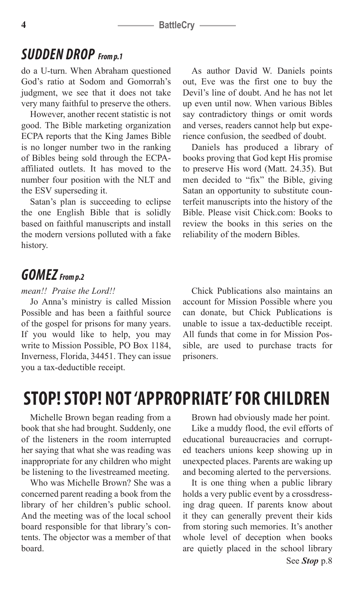# *SUDDEN DROP From p.1*

do a U-turn. When Abraham questioned God's ratio at Sodom and Gomorrah's judgment, we see that it does not take very many faithful to preserve the others.

However, another recent statistic is not good. The Bible marketing organization ECPA reports that the King James Bible is no longer number two in the ranking of Bibles being sold through the ECPAaffiliated outlets. It has moved to the number four position with the NLT and the ESV superseding it.

Satan's plan is succeeding to eclipse the one English Bible that is solidly based on faithful manuscripts and install the modern versions polluted with a fake history.

As author David W. Daniels points out, Eve was the first one to buy the Devil's line of doubt. And he has not let up even until now. When various Bibles say contradictory things or omit words and verses, readers cannot help but experience confusion, the seedbed of doubt.

Daniels has produced a library of books proving that God kept His promise to preserve His word (Matt. 24.35). But men decided to "fix" the Bible, giving Satan an opportunity to substitute counterfeit manuscripts into the history of the Bible. Please visit Chick.com: Books to review the books in this series on the reliability of the modern Bibles.

## *GOMEZ From p.2*

*mean!! Praise the Lord!!*

Jo Anna's ministry is called Mission Possible and has been a faithful source of the gospel for prisons for many years. If you would like to help, you may write to Mission Possible, PO Box 1184, Inverness, Florida, 34451. They can issue you a tax-deductible receipt.

Chick Publications also maintains an account for Mission Possible where you can donate, but Chick Publications is unable to issue a tax-deductible receipt. All funds that come in for Mission Possible, are used to purchase tracts for prisoners.

# **STOP! STOP! NOT 'APPROPRIATE' FOR CHILDREN**

Michelle Brown began reading from a book that she had brought. Suddenly, one of the listeners in the room interrupted her saying that what she was reading was inappropriate for any children who might be listening to the livestreamed meeting.

Who was Michelle Brown? She was a concerned parent reading a book from the library of her children's public school. And the meeting was of the local school board responsible for that library's contents. The objector was a member of that board.

Brown had obviously made her point.

Like a muddy flood, the evil efforts of educational bureaucracies and corrupted teachers unions keep showing up in unexpected places. Parents are waking up and becoming alerted to the perversions.

It is one thing when a public library holds a very public event by a crossdressing drag queen. If parents know about it they can generally prevent their kids from storing such memories. It's another whole level of deception when books are quietly placed in the school library See *Stop* p.8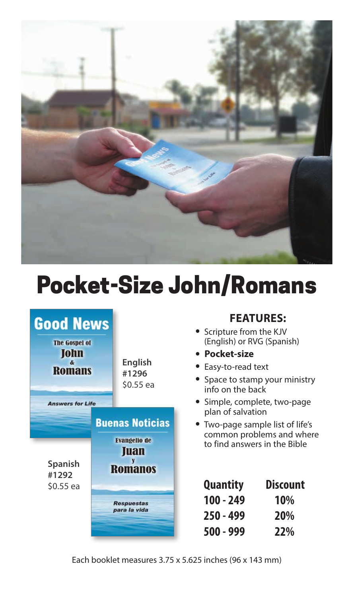

# Pocket-Size John/Romans

| <b>Good News</b><br><b>The Gospel of</b><br><b>John</b><br>$\boldsymbol{\kappa}$<br><b>Romans</b><br><b>Answers for Life</b> | English<br>#1296<br>\$0.55 ea                                                                                |
|------------------------------------------------------------------------------------------------------------------------------|--------------------------------------------------------------------------------------------------------------|
| <b>Spanish</b><br>#1292<br>\$0.55 ea                                                                                         | <b>Buenas Noticias</b><br><b>Evangelio de</b><br>Juan<br><b>Romanos</b><br><b>Respuestas</b><br>para la vida |

### **FEATURES:**

- Scripture from the KJV (English) or RVG (Spanish)
- **Pocket-size**
- Easy-to-read text
- Space to stamp your ministry info on the back
- Simple, complete, two-page plan of salvation
- Two-page sample list of life's common problems and where to find answers in the Bible

| <b>Quantity</b> | <b>Discount</b> |  |
|-----------------|-----------------|--|
| $100 - 249$     | 10%             |  |
| 250 - 499       | <b>20%</b>      |  |
| 500 - 999       | 22%             |  |

Each booklet measures 3.75 x 5.625 inches (96 x 143 mm)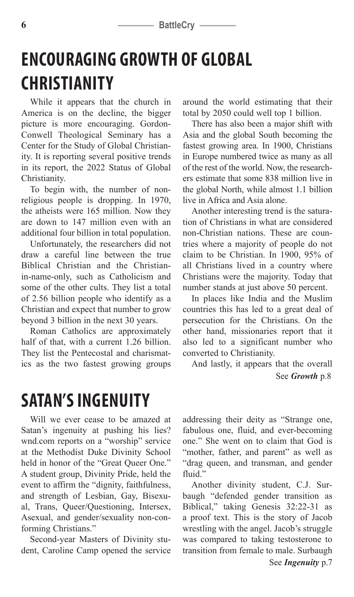#### **6 BattleCry** –

# **ENCOURAGING GROWTH OF GLOBAL CHRISTIANITY**

While it appears that the church in America is on the decline, the bigger picture is more encouraging. Gordon-Conwell Theological Seminary has a Center for the Study of Global Christianity. It is reporting several positive trends in its report, the 2022 Status of Global Christianity.

To begin with, the number of nonreligious people is dropping. In 1970, the atheists were 165 million. Now they are down to 147 million even with an additional four billion in total population.

Unfortunately, the researchers did not draw a careful line between the true Biblical Christian and the Christianin-name-only, such as Catholicism and some of the other cults. They list a total of 2.56 billion people who identify as a Christian and expect that number to grow beyond 3 billion in the next 30 years.

Roman Catholics are approximately half of that, with a current 1.26 billion. They list the Pentecostal and charismatics as the two fastest growing groups around the world estimating that their total by 2050 could well top 1 billion.

There has also been a major shift with Asia and the global South becoming the fastest growing area. In 1900, Christians in Europe numbered twice as many as all of the rest of the world. Now, the researchers estimate that some 838 million live in the global North, while almost 1.1 billion live in Africa and Asia alone.

Another interesting trend is the saturation of Christians in what are considered non-Christian nations. These are countries where a majority of people do not claim to be Christian. In 1900, 95% of all Christians lived in a country where Christians were the majority. Today that number stands at just above 50 percent.

In places like India and the Muslim countries this has led to a great deal of persecution for the Christians. On the other hand, missionaries report that it also led to a significant number who converted to Christianity.

And lastly, it appears that the overall See *Growth* p.8

# **SATAN'S INGENUITY**

Will we ever cease to be amazed at Satan's ingenuity at pushing his lies? wnd.com reports on a "worship" service at the Methodist Duke Divinity School held in honor of the "Great Queer One." A student group, Divinity Pride, held the event to affirm the "dignity, faithfulness, and strength of Lesbian, Gay, Bisexual, Trans, Queer/Questioning, Intersex, Asexual, and gender/sexuality non-conforming Christians."

Second-year Masters of Divinity student, Caroline Camp opened the service addressing their deity as "Strange one, fabulous one, fluid, and ever-becoming one." She went on to claim that God is "mother, father, and parent" as well as "drag queen, and transman, and gender fluid."

See *Ingenuity* p.7 Another divinity student, C.J. Surbaugh "defended gender transition as Biblical," taking Genesis 32:22-31 as a proof text. This is the story of Jacob wrestling with the angel. Jacob's struggle was compared to taking testosterone to transition from female to male. Surbaugh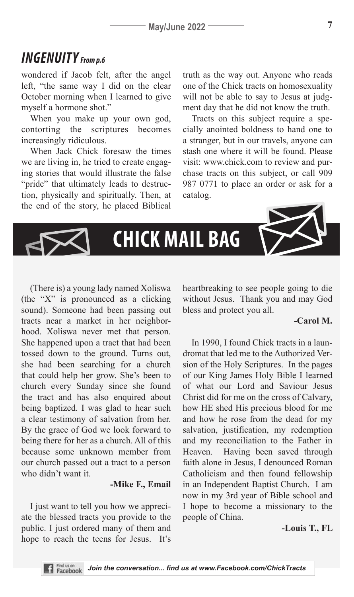# *INGENUITY From p.6*

wondered if Jacob felt, after the angel left, "the same way I did on the clear October morning when I learned to give myself a hormone shot."

When you make up your own god, contorting the scriptures becomes increasingly ridiculous.

When Jack Chick foresaw the times we are living in, he tried to create engaging stories that would illustrate the false "pride" that ultimately leads to destruction, physically and spiritually. Then, at the end of the story, he placed Biblical truth as the way out. Anyone who reads one of the Chick tracts on homosexuality will not be able to say to Jesus at judgment day that he did not know the truth.

Tracts on this subject require a specially anointed boldness to hand one to a stranger, but in our travels, anyone can stash one where it will be found. Please visit: www.chick.com to review and purchase tracts on this subject, or call 909 987 0771 to place an order or ask for a catalog.



(There is) a young lady named Xoliswa (the "X" is pronounced as a clicking sound). Someone had been passing out tracts near a market in her neighborhood. Xoliswa never met that person. She happened upon a tract that had been tossed down to the ground. Turns out, she had been searching for a church that could help her grow. She's been to church every Sunday since she found the tract and has also enquired about being baptized. I was glad to hear such a clear testimony of salvation from her. By the grace of God we look forward to being there for her as a church. All of this because some unknown member from our church passed out a tract to a person who didn't want it.

#### **-Mike F., Email**

I just want to tell you how we appreciate the blessed tracts you provide to the public. I just ordered many of them and hope to reach the teens for Jesus. It's heartbreaking to see people going to die without Jesus. Thank you and may God bless and protect you all.

### **-Carol M.**

In 1990, I found Chick tracts in a laundromat that led me to the Authorized Version of the Holy Scriptures. In the pages of our King James Holy Bible I learned of what our Lord and Saviour Jesus Christ did for me on the cross of Calvary, how HE shed His precious blood for me and how he rose from the dead for my salvation, justification, my redemption and my reconciliation to the Father in Heaven. Having been saved through faith alone in Jesus, I denounced Roman Catholicism and then found fellowship in an Independent Baptist Church. I am now in my 3rd year of Bible school and I hope to become a missionary to the people of China.

#### **-Louis T., FL**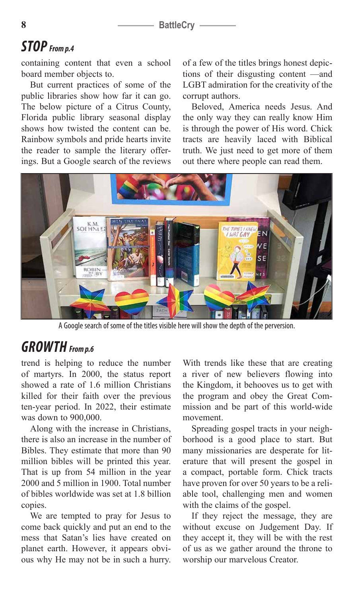# *STOP From p.4*

containing content that even a school board member objects to.

But current practices of some of the public libraries show how far it can go. The below picture of a Citrus County, Florida public library seasonal display shows how twisted the content can be. Rainbow symbols and pride hearts invite the reader to sample the literary offerings. But a Google search of the reviews of a few of the titles brings honest depictions of their disgusting content —and LGBT admiration for the creativity of the corrupt authors.

Beloved, America needs Jesus. And the only way they can really know Him is through the power of His word. Chick tracts are heavily laced with Biblical truth. We just need to get more of them out there where people can read them.



A Google search of some of the titles visible here will show the depth of the perversion.

# *GROWTH From p.6*

trend is helping to reduce the number of martyrs. In 2000, the status report showed a rate of 1.6 million Christians killed for their faith over the previous ten-year period. In 2022, their estimate was down to 900,000.

Along with the increase in Christians, there is also an increase in the number of Bibles. They estimate that more than 90 million bibles will be printed this year. That is up from 54 million in the year 2000 and 5 million in 1900. Total number of bibles worldwide was set at 1.8 billion copies.

We are tempted to pray for Jesus to come back quickly and put an end to the mess that Satan's lies have created on planet earth. However, it appears obvious why He may not be in such a hurry. With trends like these that are creating a river of new believers flowing into the Kingdom, it behooves us to get with the program and obey the Great Commission and be part of this world-wide movement.

Spreading gospel tracts in your neighborhood is a good place to start. But many missionaries are desperate for literature that will present the gospel in a compact, portable form. Chick tracts have proven for over 50 years to be a reliable tool, challenging men and women with the claims of the gospel.

If they reject the message, they are without excuse on Judgement Day. If they accept it, they will be with the rest of us as we gather around the throne to worship our marvelous Creator.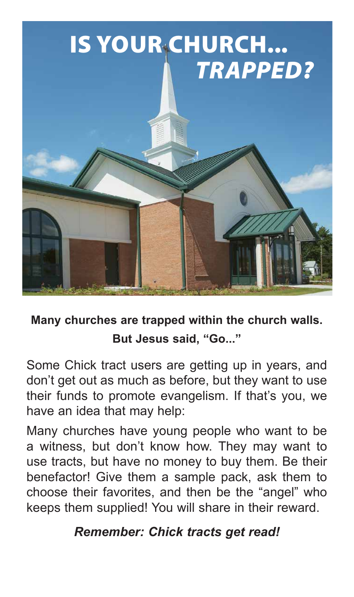

# **Many churches are trapped within the church walls. But Jesus said, "Go..."**

Some Chick tract users are getting up in years, and don't get out as much as before, but they want to use their funds to promote evangelism. If that's you, we have an idea that may help:

Many churches have young people who want to be a witness, but don't know how. They may want to use tracts, but have no money to buy them. Be their benefactor! Give them a sample pack, ask them to choose their favorites, and then be the "angel" who keeps them supplied! You will share in their reward.

# *Remember: Chick tracts get read!*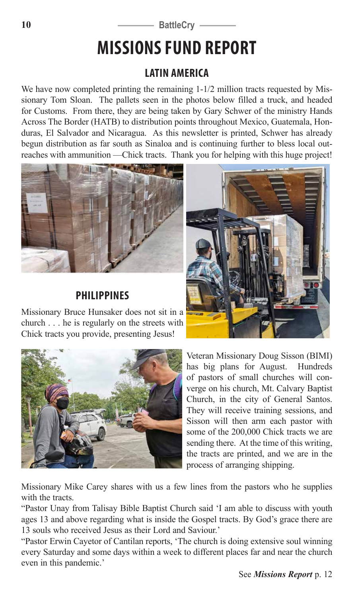### 10 **BattleCry** –

# **MISSIONS FUND REPORT**

### **LATIN AMERICA**

We have now completed printing the remaining 1-1/2 million tracts requested by Missionary Tom Sloan. The pallets seen in the photos below filled a truck, and headed for Customs. From there, they are being taken by Gary Schwer of the ministry Hands Across The Border (HATB) to distribution points throughout Mexico, Guatemala, Honduras, El Salvador and Nicaragua. As this newsletter is printed, Schwer has already begun distribution as far south as Sinaloa and is continuing further to bless local outreaches with ammunition —Chick tracts. Thank you for helping with this huge project!



### **PHILIPPINES**

Missionary Bruce Hunsaker does not sit in a church . . . he is regularly on the streets with Chick tracts you provide, presenting Jesus!





Veteran Missionary Doug Sisson (BIMI) has big plans for August. Hundreds of pastors of small churches will converge on his church, Mt. Calvary Baptist Church, in the city of General Santos. They will receive training sessions, and Sisson will then arm each pastor with some of the 200,000 Chick tracts we are sending there. At the time of this writing, the tracts are printed, and we are in the process of arranging shipping.

Missionary Mike Carey shares with us a few lines from the pastors who he supplies with the tracts.

"Pastor Unay from Talisay Bible Baptist Church said 'I am able to discuss with youth ages 13 and above regarding what is inside the Gospel tracts. By God's grace there are 13 souls who received Jesus as their Lord and Saviour.'

"Pastor Erwin Cayetor of Cantilan reports, 'The church is doing extensive soul winning every Saturday and some days within a week to different places far and near the church even in this pandemic.'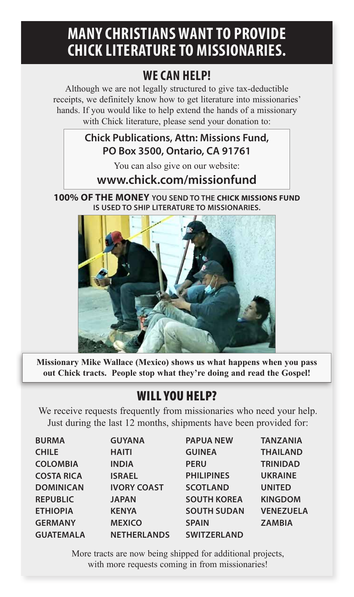# **MANY CHRISTIANS WANT TO PROVIDE CHICK LITERATURE TO MISSIONARIES.**

# **WE CAN HELP!**

Although we are not legally structured to give tax-deductible receipts, we definitely know how to get literature into missionaries' hands. If you would like to help extend the hands of a missionary with Chick literature, please send your donation to:

## **Chick Publications, Attn: Missions Fund, PO Box 3500, Ontario, CA 91761**

You can also give on our website:

## **www.chick.com/missionfund**

**100% OF THE MONEY YOU SEND TO THE CHICK MISSIONS FUND IS USED TO SHIP LITERATURE TO MISSIONARIES.** 



**Missionary Mike Wallace (Mexico) shows us what happens when you pass out Chick tracts. People stop what they're doing and read the Gospel!**

# WILL YOU HELP?

We receive requests frequently from missionaries who need your help. Just during the last 12 months, shipments have been provided for:

| <b>BURMA</b>      | <b>GUYANA</b>      | <b>PAPUA NEW</b>   | <b>TANZANIA</b>  |
|-------------------|--------------------|--------------------|------------------|
| <b>CHILE</b>      | <b>HAITI</b>       | <b>GUINEA</b>      | <b>THAILAND</b>  |
| <b>COLOMBIA</b>   | <b>INDIA</b>       | <b>PERU</b>        | <b>TRINIDAD</b>  |
| <b>COSTA RICA</b> | <b>ISRAEL</b>      | <b>PHILIPINES</b>  | <b>UKRAINE</b>   |
| <b>DOMINICAN</b>  | <b>IVORY COAST</b> | <b>SCOTLAND</b>    | <b>UNITED</b>    |
| <b>REPUBLIC</b>   | <b>JAPAN</b>       | <b>SOUTH KOREA</b> | <b>KINGDOM</b>   |
| <b>ETHIOPIA</b>   | <b>KENYA</b>       | <b>SOUTH SUDAN</b> | <b>VENEZUELA</b> |
| <b>GERMANY</b>    | <b>MEXICO</b>      | <b>SPAIN</b>       | <b>ZAMBIA</b>    |
| <b>GUATEMALA</b>  | <b>NETHERLANDS</b> | <b>SWITZERLAND</b> |                  |

More tracts are now being shipped for additional projects, with more requests coming in from missionaries!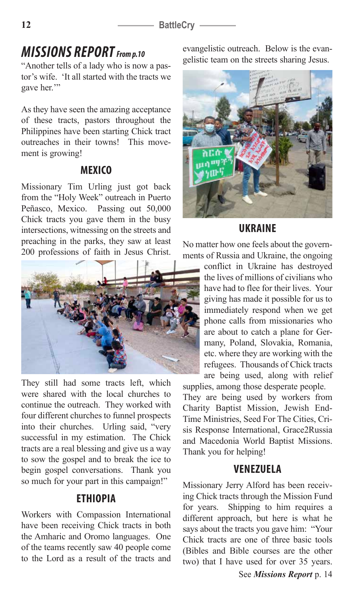#### 12 **BattleCry** -

# *MISSIONS REPORT From p.10*

"Another tells of a lady who is now a pastor's wife. 'It all started with the tracts we gave her."

As they have seen the amazing acceptance of these tracts, pastors throughout the Philippines have been starting Chick tract outreaches in their towns! This movement is growing!

### **MEXICO**

Missionary Tim Urling just got back from the "Holy Week" outreach in Puerto Peñasco, Mexico. Passing out 50,000 Chick tracts you gave them in the busy intersections, witnessing on the streets and preaching in the parks, they saw at least 200 professions of faith in Jesus Christ.



They still had some tracts left, which were shared with the local churches to continue the outreach. They worked with four different churches to funnel prospects into their churches. Urling said, "very successful in my estimation. The Chick tracts are a real blessing and give us a way to sow the gospel and to break the ice to begin gospel conversations. Thank you so much for your part in this campaign!"

### **ETHIOPIA**

Workers with Compassion International have been receiving Chick tracts in both the Amharic and Oromo languages. One of the teams recently saw 40 people come to the Lord as a result of the tracts and evangelistic outreach. Below is the evangelistic team on the streets sharing Jesus.



### **UKRAINE**

No matter how one feels about the governments of Russia and Ukraine, the ongoing

conflict in Ukraine has destroyed the lives of millions of civilians who have had to flee for their lives. Your giving has made it possible for us to immediately respond when we get phone calls from missionaries who are about to catch a plane for Germany, Poland, Slovakia, Romania, etc. where they are working with the refugees. Thousands of Chick tracts are being used, along with relief

supplies, among those desperate people. They are being used by workers from Charity Baptist Mission, Jewish End-Time Ministries, Seed For The Cities, Crisis Response International, Grace2Russia and Macedonia World Baptist Missions. Thank you for helping!

### **VENEZUELA**

Missionary Jerry Alford has been receiving Chick tracts through the Mission Fund for years. Shipping to him requires a different approach, but here is what he says about the tracts you gave him: "Your Chick tracts are one of three basic tools (Bibles and Bible courses are the other two) that I have used for over 35 years.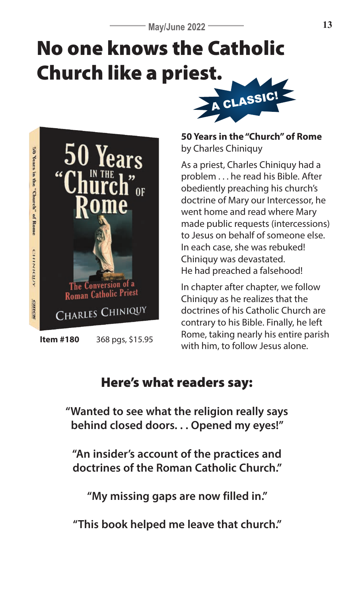# No one knows the Catholic Church like a priest. A CLASSIC!



**50 Years in the "Church" of Rome** by Charles Chiniquy

As a priest, Charles Chiniquy had a problem . . . he read his Bible. After obediently preaching his church's doctrine of Mary our Intercessor, he went home and read where Mary made public requests (intercessions) to Jesus on behalf of someone else. In each case, she was rebuked! Chiniquy was devastated. He had preached a falsehood!

In chapter after chapter, we follow Chiniquy as he realizes that the doctrines of his Catholic Church are contrary to his Bible. Finally, he left Rome, taking nearly his entire parish with him, to follow Jesus alone. **Item #180** 368 pgs, \$15.95

# Here's what readers say:

**"Wanted to see what the religion really says behind closed doors. . . Opened my eyes!"**

**"An insider's account of the practices and doctrines of the Roman Catholic Church."**

**"My missing gaps are now filled in."**

**"This book helped me leave that church."**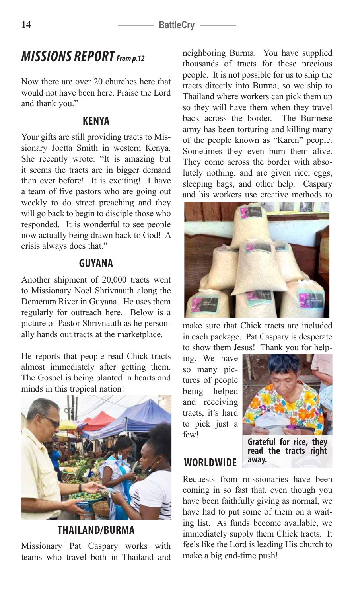# *MISSIONS REPORT From p.12*

Now there are over 20 churches here that would not have been here. Praise the Lord and thank you."

### **KENYA**

Your gifts are still providing tracts to Missionary Joetta Smith in western Kenya. She recently wrote: "It is amazing but it seems the tracts are in bigger demand than ever before! It is exciting! I have a team of five pastors who are going out weekly to do street preaching and they will go back to begin to disciple those who responded. It is wonderful to see people now actually being drawn back to God! A crisis always does that."

### **GUYANA**

Another shipment of 20,000 tracts went to Missionary Noel Shrivnauth along the Demerara River in Guyana. He uses them regularly for outreach here. Below is a picture of Pastor Shrivnauth as he personally hands out tracts at the marketplace.

He reports that people read Chick tracts almost immediately after getting them. The Gospel is being planted in hearts and minds in this tropical nation!



**THAILAND/BURMA**

Missionary Pat Caspary works with teams who travel both in Thailand and neighboring Burma. You have supplied thousands of tracts for these precious people. It is not possible for us to ship the tracts directly into Burma, so we ship to Thailand where workers can pick them up so they will have them when they travel back across the border. The Burmese army has been torturing and killing many of the people known as "Karen" people. Sometimes they even burn them alive. They come across the border with absolutely nothing, and are given rice, eggs, sleeping bags, and other help. Caspary and his workers use creative methods to



make sure that Chick tracts are included in each package. Pat Caspary is desperate to show them Jesus! Thank you for help-

ing. We have so many pictures of people being helped and receiving tracts, it's hard to pick just a few!

**WORLDWIDE**



**Grateful for rice, they read the tracts right away.**

Requests from missionaries have been coming in so fast that, even though you have been faithfully giving as normal, we have had to put some of them on a waiting list. As funds become available, we immediately supply them Chick tracts. It feels like the Lord is leading His church to make a big end-time push!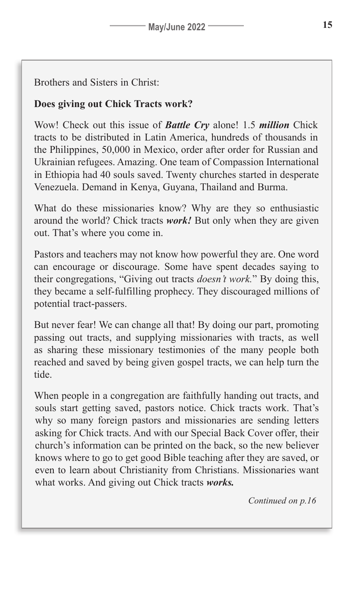### Brothers and Sisters in Christ:

### **Does giving out Chick Tracts work?**

Wow! Check out this issue of *Battle Cry* alone! 1.5 *million* Chick tracts to be distributed in Latin America, hundreds of thousands in the Philippines, 50,000 in Mexico, order after order for Russian and Ukrainian refugees. Amazing. One team of Compassion International in Ethiopia had 40 souls saved. Twenty churches started in desperate Venezuela. Demand in Kenya, Guyana, Thailand and Burma.

What do these missionaries know? Why are they so enthusiastic around the world? Chick tracts *work!* But only when they are given out. That's where you come in.

Pastors and teachers may not know how powerful they are. One word can encourage or discourage. Some have spent decades saying to their congregations, "Giving out tracts *doesn't work.*" By doing this, they became a self-fulfilling prophecy. They discouraged millions of potential tract-passers.

But never fear! We can change all that! By doing our part, promoting passing out tracts, and supplying missionaries with tracts, as well as sharing these missionary testimonies of the many people both reached and saved by being given gospel tracts, we can help turn the tide.

When people in a congregation are faithfully handing out tracts, and souls start getting saved, pastors notice. Chick tracts work. That's why so many foreign pastors and missionaries are sending letters asking for Chick tracts. And with our Special Back Cover offer, their church's information can be printed on the back, so the new believer knows where to go to get good Bible teaching after they are saved, or even to learn about Christianity from Christians. Missionaries want what works. And giving out Chick tracts *works.*

*Continued on p.16*